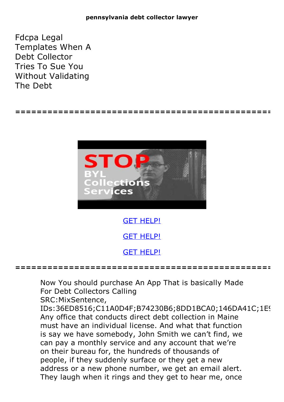Fdcpa Legal Templates When A Debt Collector Tries To Sue You Without Validating The Debt



**================================================**

Now You should purchase An App That is basically Made For Debt Collectors Calling

**================================================**

SRC:MixSentence,

IDs:36ED8516;C11A0D4F;B74230B6;8DD1BCA0;146DA41C;1E! Any office that conducts direct debt collection in Maine must have an individual license. And what that function is say we have somebody, John Smith we can't find, we can pay a monthly service and any account that we're on their bureau for, the hundreds of thousands of people, if they suddenly surface or they get a new address or <sup>a</sup> new phone number, we get an email alert. They laugh when it rings and they get to hear me, once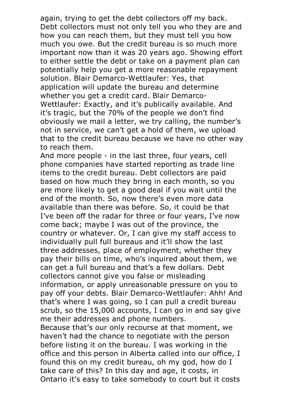again, trying to get the debt collectors off my back. Debt collectors must not only tell you who they are and how you can reach them, but they must tell you how much you owe. But the credit bureau is so much more important now than it was 20 years ago. Showing effort to either settle the debt or take on a payment plan can potentially help you get a more reasonable repayment solution. Blair Demarco-Wettlaufer: Yes, that application will update the bureau and determine whether you get a credit card. Blair Demarco-<br>Wettlaufer: Exactly, and it's publically available. And it's tragic, but the 70% of the people we don't find obviously we mail a letter, we try calling, the number's not in service, we can't get a hold of them, we upload that to the credit bureau because we have no other way to reach them.<br>And more people - in the last three, four years, cell

phone companies have started reporting as trade line items to the credit bureau. Debt collectors are paid based on how much they bring in each month, so you are more likely to get a good deal if you wait until the end of the month. So, now there's even more data available than there was before. So, it could be that I've been off the radar for three or four years, I've now come back; maybe I was out of the province, the country or whatever. Or, I can give my staff access to individually pull full bureaus and it'll show the last three addresses, place of employment, whether they pay their bills on time, who's inquired about them, we can get a full bureau and that's a few dollars. Debt collectors cannot give you false or misleading information, or apply unreasonable pressure on you to pay off your debts. Blair Demarco-Wettlaufer: Ahh! And that's where I was going, so I can pull a credit bureau scrub, so the 15,000 accounts, I can go in and say give me their addresses and phone numbers. Because that's our only recourse at that moment, we

haven't had the chance to negotiate with the person before listing it on the bureau. I was working in the office and this person in Alberta called into our office, I found this on my credit bureau, oh my god, how do I take care of this? In this day and age, it costs, in Ontario it's easy to take somebody to court but it costs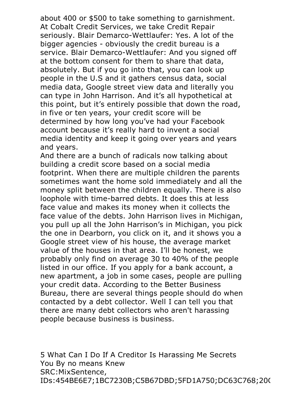about <sup>400</sup> or \$500 to take something to garnishment. At Cobalt Credit Services, we take Credit Repair seriously. Blair Demarco-Wettlaufer: Yes. A lot of the bigger agencies - obviously the credit bureau is a service. Blair Demarco-Wettlaufer: And you signed off at the bottom consent for them to share that data, absolutely. But if you go into that, you can look up people in the U.S and it gathers census data, social media data, Google street view data and literally you can type in John Harrison. And it's all hypothetical at this point, but it's entirely possible that down the road, in five or ten years, your credit score will be determined by how long you've had your Facebook account because it's really hard to invent a social media identity and keep it going over years and years and years.<br>And there are a bunch of radicals now talking about

building a credit score based on a social media footprint. When there are multiple children the parents sometimes want the home sold immediately and all the money split between the children equally. There is also loophole with time-barred debts. It does this at less face value and makes its money when it collects the face value of the debts. John Harrison lives in Michigan, you pull up all the John Harrison's in Michigan, you pick the one in Dearborn, you click on it, and it shows you a Google street view of his house, the average market value of the houses in that area. I'll be honest, we probably only find on average 30 to 40% of the people listed in our office. If you apply for a bank account, a new apartment, a job in some cases, people are pulling your credit data. According to the Better Business Bureau, there are several things people should do when contacted by a debt collector. Well I can tell you that there are many debt collectors who aren't harassing people because business is business.

5 What Can I Do If A Creditor Is Harassing Me Secrets You By no means Knew SRC:MixSentence,<br>IDs:454BE6E7;1BC7230B;C5B67DBD;5FD1A750;DC63C768;200 IDs:454BE6E7;1BC7230B;C5B67DBD;5FD1A750;DC63C768;20(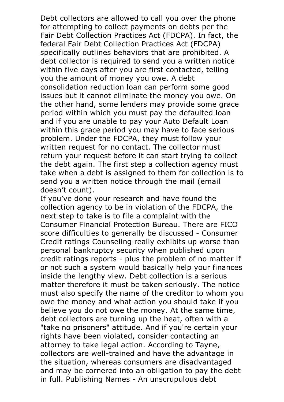Debt collectors are allowed to call you over the phone for attempting to collect payments on debts per the Fair Debt Collection Practices Act (FDCPA). In fact, the federal Fair Debt Collection Practices Act (FDCPA) specifically outlines behaviors that are prohibited. A debt collector is required to send you a written notice within five days after you are first contacted, telling you the amount of money you owe. A debt consolidation reduction loan can perform some good issues but it cannot eliminate the money you owe. On the other hand, some lenders may provide some grace period within which you must pay the defaulted loan and if you are unable to pay your Auto Default Loan within this grace period you may have to face serious problem. Under the FDCPA, they must follow your written request for no contact. The collector must return your request before it can start trying to collect the debt again. The first step a collection agency must take when a debt is assigned to them for collection is to send you a written notice through the mail (email doesn't count).

If you've done your research and have found the collection agency to be in violation of the FDCPA, the next step to take is to file a complaint with the Consumer Financial Protection Bureau. There are FICO score difficulties to generally be discussed - Consumer Credit ratings Counseling really exhibits up worse than personal bankruptcy security when published upon credit ratings reports - plus the problem of no matter if or not such a system would basically help your finances inside the lengthy view. Debt collection is a serious matter therefore it must be taken seriously. The notice must also specify the name of the creditor to whom you owe the money and what action you should take if you believe you do not owe the money. At the same time, debt collectors are turning up the heat, often with a "take no prisoners" attitude. And if you're certain your rights have been violated, consider contacting an attorney to take legal action. According to Tayne, collectors are well-trained and have the advantage in the situation, whereas consumers are disadvantaged and may be cornered into an obligation to pay the debt in full. Publishing Names - An unscrupulous debt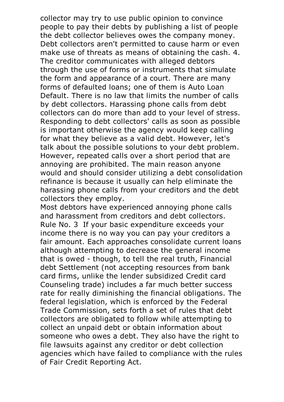collector may try to use public opinion to convince people to pay their debts by publishing a list of people the debt collector believes owes the company money. Debt collectors aren't permitted to cause harm or even make use of threats as means of obtaining the cash. 4. The creditor communicates with alleged debtors through the use of forms or instruments that simulate the form and appearance of a court. There are many forms of defaulted loans; one of them is Auto Loan Default. There is no law that limits the number of calls by debt collectors. Harassing phone calls from debt collectors can do more than add to your level of stress. Responding to debt collectors' calls as soon as possible is important otherwise the agency would keep calling for what they believe as a valid debt. However, let's talk about the possible solutions to your debt problem. However, repeated calls over <sup>a</sup> short period that are annoying are prohibited. The main reason anyone would and should consider utilizing a debt consolidation refinance is because it usually can help eliminate the harassing phone calls from your creditors and the debt collectors they employ. Most debtors have experienced annoying phone calls

and harassment from creditors and debt collectors. Rule No. <sup>3</sup> If your basic expenditure exceeds your income there is no way you can pay your creditors a fair amount. Each approaches consolidate current loans although attempting to decrease the general income that is owed - though, to tell the real truth, Financial debt Settlement (not accepting resources from bank card firms, unlike the lender subsidized Credit card Counseling trade) includes a far much better success rate for really diminishing the financial obligations. The federal legislation, which is enforced by the Federal Trade Commission, sets forth a set of rules that debt collectors are obligated to follow while attempting to collect an unpaid debt or obtain information about someone who owes a debt. They also have the right to file lawsuits against any creditor or debt collection agencies which have failed to compliance with the rules of Fair Credit Reporting Act.